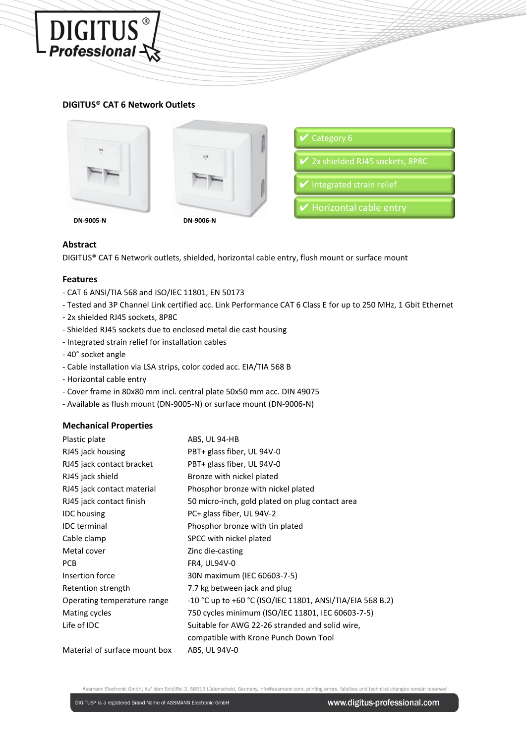# **DIGITUS® CAT 6 Network Outlets**



DIGITUS<sup>®</sup>



| $\triangledown$ Category 6       |
|----------------------------------|
| ✔ 2x shielded RJ45 sockets, 8P8C |
| Integrated strain relief         |
| Horizontal cable entry           |

# **Abstract**

DIGITUS® CAT 6 Network outlets, shielded, horizontal cable entry, flush mount or surface mount

### **Features**

- CAT 6 ANSI/TIA 568 and ISO/IEC 11801, EN 50173
- Tested and 3P Channel Link certified acc. Link Performance CAT 6 Class E for up to 250 MHz, 1 Gbit Ethernet
- 2x shielded RJ45 sockets, 8P8C
- Shielded RJ45 sockets due to enclosed metal die cast housing
- Integrated strain relief for installation cables
- 40° socket angle
- Cable installation via LSA strips, color coded acc. EIA/TIA 568 B
- Horizontal cable entry
- Cover frame in 80x80 mm incl. central plate 50x50 mm acc. DIN 49075
- Available as flush mount (DN-9005-N) or surface mount (DN-9006-N)

#### **Mechanical Properties**

| Plastic plate                 | ABS, UL 94-HB                                                 |
|-------------------------------|---------------------------------------------------------------|
| RJ45 jack housing             | PBT+ glass fiber, UL 94V-0                                    |
| RJ45 jack contact bracket     | PBT+ glass fiber, UL 94V-0                                    |
| RJ45 jack shield              | Bronze with nickel plated                                     |
| RJ45 jack contact material    | Phosphor bronze with nickel plated                            |
| RJ45 jack contact finish      | 50 micro-inch, gold plated on plug contact area               |
| <b>IDC</b> housing            | PC+ glass fiber, UL 94V-2                                     |
| <b>IDC</b> terminal           | Phosphor bronze with tin plated                               |
| Cable clamp                   | SPCC with nickel plated                                       |
| Metal cover                   | Zinc die-casting                                              |
| <b>PCB</b>                    | FR4, UL94V-0                                                  |
| Insertion force               | 30N maximum (IEC 60603-7-5)                                   |
| Retention strength            | 7.7 kg between jack and plug                                  |
| Operating temperature range   | $-10$ °C up to $+60$ °C (ISO/IEC 11801, ANSI/TIA/EIA 568 B.2) |
| Mating cycles                 | 750 cycles minimum (ISO/IEC 11801, IEC 60603-7-5)             |
| Life of IDC                   | Suitable for AWG 22-26 stranded and solid wire,               |
|                               | compatible with Krone Punch Down Tool                         |
| Material of surface mount box | ABS, UL 94V-0                                                 |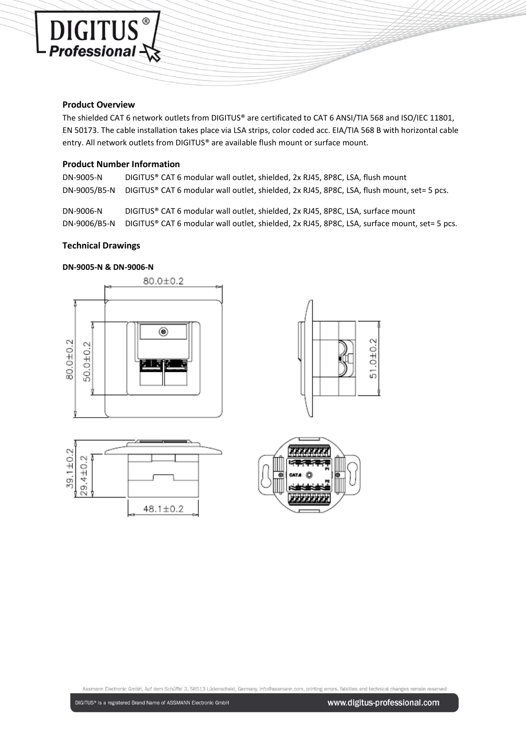#### **Product Overview**

DIGITUS<sup>®</sup>

The shielded CAT 6 network outlets from DIGITUS® are certificated to CAT 6 ANSI/TIA 568 and ISO/IEC 11801, EN 50173. The cable installation takes place via LSA strips, color coded acc. EIA/TIA 568 B with horizontal cable entry. All network outlets from DIGITUS® are available flush mount or surface mount.

## **Product Number Information**

DN-9005-N DIGITUS® CAT 6 modular wall outlet, shielded, 2x RJ45, 8P8C, LSA, flush mount DN-9005/B5-N DIGITUS® CAT 6 modular wall outlet, shielded, 2x RJ45, 8P8C, LSA, flush mount, set= 5 pcs.

DN-9006-N DIGITUS® CAT 6 modular wall outlet, shielded, 2x RJ45, 8P8C, LSA, surface mount DN-9006/B5-N DIGITUS® CAT 6 modular wall outlet, shielded, 2x RJ45, 8P8C, LSA, surface mount, set= 5 pcs.

#### **Technical Drawings**

#### **DN-9005-N & DN-9006-N**



Assmann Electronic GmbH, Auf dem Schüffel 3, 58513 Lüdenscheid, Germany, info@assmann.com, printing errors, falsities and technical changes remain reserved

51.0±0.2